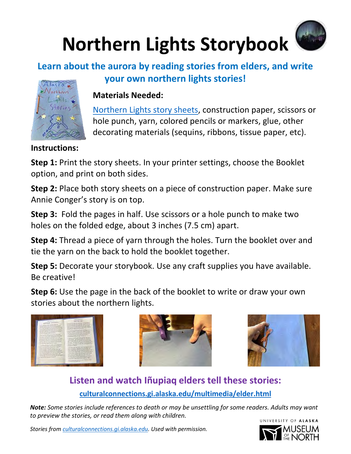# **Northern Lights Storybook**

### **Learn about the aurora by reading stories from elders, and write**



#### **Materials Needed:**

[Northern Lights story sheets,](https://www.uaf.edu/museum/education/educators/heliophysics-aurora-outre/activities/pdfs/Northern-Lights-Story-Sheets.pdf) construction paper, scissors or hole punch, yarn, colored pencils or markers, glue, other decorating materials (sequins, ribbons, tissue paper, etc).

**Instructions:**

Alaska

**Step 1:** Print the story sheets. In your printer settings, choose the Booklet option, and print on both sides.

**Step 2:** Place both story sheets on a piece of construction paper. Make sure Annie Conger's story is on top.

**Step 3:** Fold the pages in half. Use scissors or a hole punch to make two holes on the folded edge, about 3 inches (7.5 cm) apart.

**Step 4:** Thread a piece of yarn through the holes. Turn the booklet over and tie the yarn on the back to hold the booklet together.

**Step 5:** Decorate your storybook. Use any craft supplies you have available. Be creative!

**Step 6:** Use the page in the back of the booklet to write or draw your own stories about the northern lights.







#### **Listen and watch Iñupiaq elders tell these stories: [culturalconnections.gi.alaska.edu/multimedia/elder.html](https://culturalconnections.gi.alaska.edu/multimedia/elder.html)**

*Note: Some stories include references to death or may be unsettling for some readers. Adults may want to preview the stories, or read them along with children.*  UNIVERSITY OF ALASKA

*Stories from [culturalconnections.gi.alaska.edu.](https://culturalconnections.gi.alaska.edu/) Used with permission.*